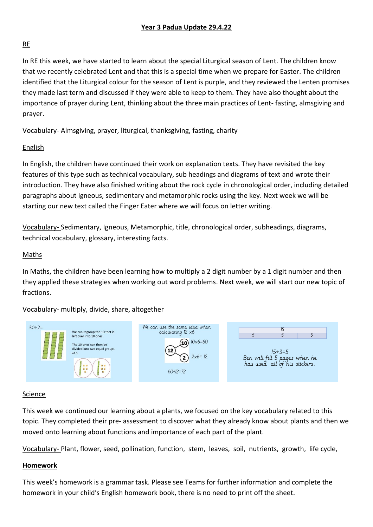# **Year 3 Padua Update 29.4.22**

# RE

In RE this week, we have started to learn about the special Liturgical season of Lent. The children know that we recently celebrated Lent and that this is a special time when we prepare for Easter. The children identified that the Liturgical colour for the season of Lent is purple, and they reviewed the Lenten promises they made last term and discussed if they were able to keep to them. They have also thought about the importance of prayer during Lent, thinking about the three main practices of Lent- fasting, almsgiving and prayer.

Vocabulary- Almsgiving, prayer, liturgical, thanksgiving, fasting, charity

## English

In English, the children have continued their work on explanation texts. They have revisited the key features of this type such as technical vocabulary, sub headings and diagrams of text and wrote their introduction. They have also finished writing about the rock cycle in chronological order, including detailed paragraphs about igneous, sedimentary and metamorphic rocks using the key. Next week we will be starting our new text called the Finger Eater where we will focus on letter writing.

Vocabulary- Sedimentary, Igneous, Metamorphic, title, chronological order, subheadings, diagrams, technical vocabulary, glossary, interesting facts.

## Maths

In Maths, the children have been learning how to multiply a 2 digit number by a 1 digit number and then they applied these strategies when working out word problems. Next week, we will start our new topic of fractions.

Vocabulary- multiply, divide, share, altogether



#### Science

This week we continued our learning about a plants, we focused on the key vocabulary related to this topic. They completed their pre- assessment to discover what they already know about plants and then we moved onto learning about functions and importance of each part of the plant.

Vocabulary- Plant, flower, seed, pollination, function, stem, leaves, soil, nutrients, growth, life cycle,

## **Homework**

This week's homework is a grammar task. Please see Teams for further information and complete the homework in your child's English homework book, there is no need to print off the sheet.